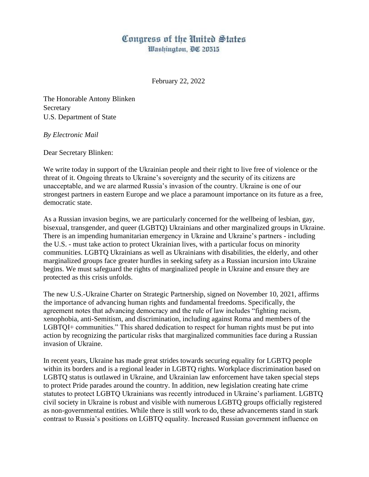## Congress of the United States Washington, DC 20515

February 22, 2022

The Honorable Antony Blinken Secretary U.S. Department of State

## *By Electronic Mail*

Dear Secretary Blinken:

We write today in support of the Ukrainian people and their right to live free of violence or the threat of it. Ongoing threats to Ukraine's sovereignty and the security of its citizens are unacceptable, and we are alarmed Russia's invasion of the country. Ukraine is one of our strongest partners in eastern Europe and we place a paramount importance on its future as a free, democratic state.

As a Russian invasion begins, we are particularly concerned for the wellbeing of lesbian, gay, bisexual, transgender, and queer (LGBTQ) Ukrainians and other marginalized groups in Ukraine. There is an impending humanitarian emergency in Ukraine and Ukraine's partners - including the U.S. - must take action to protect Ukrainian lives, with a particular focus on minority communities. LGBTQ Ukrainians as well as Ukrainians with disabilities, the elderly, and other marginalized groups face greater hurdles in seeking safety as a Russian incursion into Ukraine begins. We must safeguard the rights of marginalized people in Ukraine and ensure they are protected as this crisis unfolds.

The new U.S.-Ukraine Charter on Strategic Partnership, signed on November 10, 2021, affirms the importance of advancing human rights and fundamental freedoms. Specifically, the agreement notes that advancing democracy and the rule of law includes "fighting racism, xenophobia, anti-Semitism, and discrimination, including against Roma and members of the LGBTQI+ communities." This shared dedication to respect for human rights must be put into action by recognizing the particular risks that marginalized communities face during a Russian invasion of Ukraine.

In recent years, Ukraine has made great strides towards securing equality for LGBTQ people within its borders and is a regional leader in LGBTQ rights. Workplace discrimination based on LGBTQ status is outlawed in Ukraine, and Ukrainian law enforcement have taken special steps to protect Pride parades around the country. In addition, new legislation creating hate crime statutes to protect LGBTQ Ukrainians was recently introduced in Ukraine's parliament. LGBTQ civil society in Ukraine is robust and visible with numerous LGBTQ groups officially registered as non-governmental entities. While there is still work to do, these advancements stand in stark contrast to Russia's positions on LGBTQ equality. Increased Russian government influence on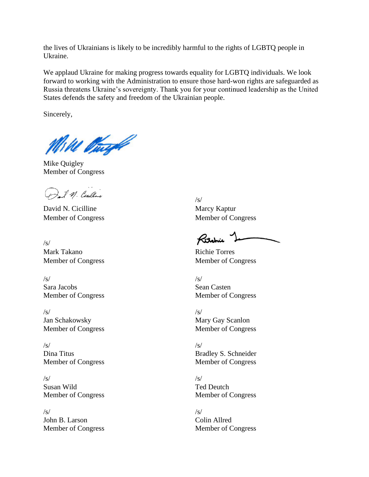the lives of Ukrainians is likely to be incredibly harmful to the rights of LGBTQ people in Ukraine.

We applaud Ukraine for making progress towards equality for LGBTQ individuals. We look forward to working with the Administration to ensure those hard-won rights are safeguarded as Russia threatens Ukraine's sovereignty. Thank you for your continued leadership as the United States defends the safety and freedom of the Ukrainian people.

Sincerely,

Mike Burgh

Mike Quigley Member of Congress

M. Centine

David N. Cicilline Marcy Kaptur Member of Congress Member of Congress

/s/ Mark Takano Richie Torres

 $\sqrt{s}$ / $\sqrt{s}$ / $\sqrt{s}$ / $\sqrt{s}$ / $\sqrt{s}$ / $\sqrt{s}$ / $\sqrt{s}$ / $\sqrt{s}$ / $\sqrt{s}$ / $\sqrt{s}$ / $\sqrt{s}$ / $\sqrt{s}$ / $\sqrt{s}$ / $\sqrt{s}$ / $\sqrt{s}$ / $\sqrt{s}$ / $\sqrt{s}$ / $\sqrt{s}$ / $\sqrt{s}$ / $\sqrt{s}$ / $\sqrt{s}$ / $\sqrt{s}$ / $\sqrt{s}$ / $\sqrt{s}$ / $\sqrt{s}$ / $\sqrt{s}$ / $\sqrt{s}$ / $\sqrt{s}$ / $\sqrt{s}$ / $\sqrt{s}$ / $\sqrt{s}$ / $\sqrt{s$ Sara Jacobs Sean Casten Member of Congress Member of Congress

 $\sqrt{s}$ / $\sqrt{s}$ / $\sqrt{s}$ / $\sqrt{s}$ / $\sqrt{s}$ / $\sqrt{s}$ / $\sqrt{s}$ / $\sqrt{s}$ / $\sqrt{s}$ / $\sqrt{s}$ / $\sqrt{s}$ / $\sqrt{s}$ / $\sqrt{s}$ / $\sqrt{s}$ / $\sqrt{s}$ / $\sqrt{s}$ / $\sqrt{s}$ / $\sqrt{s}$ / $\sqrt{s}$ / $\sqrt{s}$ / $\sqrt{s}$ / $\sqrt{s}$ / $\sqrt{s}$ / $\sqrt{s}$ / $\sqrt{s}$ / $\sqrt{s}$ / $\sqrt{s}$ / $\sqrt{s}$ / $\sqrt{s}$ / $\sqrt{s}$ / $\sqrt{s}$ / $\sqrt{s$ Jan Schakowsky Mary Gay Scanlon Member of Congress Member of Congress

 $\sqrt{s}$ / $\sqrt{s}$ / $\sqrt{s}$ / $\sqrt{s}$ / $\sqrt{s}$ / $\sqrt{s}$ / $\sqrt{s}$ / $\sqrt{s}$ / $\sqrt{s}$ / $\sqrt{s}$ / $\sqrt{s}$ / $\sqrt{s}$ / $\sqrt{s}$ / $\sqrt{s}$ / $\sqrt{s}$ / $\sqrt{s}$ / $\sqrt{s}$ / $\sqrt{s}$ / $\sqrt{s}$ / $\sqrt{s}$ / $\sqrt{s}$ / $\sqrt{s}$ / $\sqrt{s}$ / $\sqrt{s}$ / $\sqrt{s}$ / $\sqrt{s}$ / $\sqrt{s}$ / $\sqrt{s}$ / $\sqrt{s}$ / $\sqrt{s}$ / $\sqrt{s}$ / $\sqrt{s$ 

 $\sqrt{s}$ / $\sqrt{s}$ / $\sqrt{s}$ / $\sqrt{s}$ / $\sqrt{s}$ / $\sqrt{s}$ / $\sqrt{s}$ / $\sqrt{s}$ / $\sqrt{s}$ / $\sqrt{s}$ / $\sqrt{s}$ / $\sqrt{s}$ / $\sqrt{s}$ / $\sqrt{s}$ / $\sqrt{s}$ / $\sqrt{s}$ / $\sqrt{s}$ / $\sqrt{s}$ / $\sqrt{s}$ / $\sqrt{s}$ / $\sqrt{s}$ / $\sqrt{s}$ / $\sqrt{s}$ / $\sqrt{s}$ / $\sqrt{s}$ / $\sqrt{s}$ / $\sqrt{s}$ / $\sqrt{s}$ / $\sqrt{s}$ / $\sqrt{s}$ / $\sqrt{s}$ / $\sqrt{s$ Susan Wild Ted Deutch Member of Congress Member of Congress

 $\sqrt{s}$ / $\sqrt{s}$ / $\sqrt{s}$ / $\sqrt{s}$ / $\sqrt{s}$ / $\sqrt{s}$ / $\sqrt{s}$ / $\sqrt{s}$ / $\sqrt{s}$ / $\sqrt{s}$ / $\sqrt{s}$ / $\sqrt{s}$ / $\sqrt{s}$ / $\sqrt{s}$ / $\sqrt{s}$ / $\sqrt{s}$ / $\sqrt{s}$ / $\sqrt{s}$ / $\sqrt{s}$ / $\sqrt{s}$ / $\sqrt{s}$ / $\sqrt{s}$ / $\sqrt{s}$ / $\sqrt{s}$ / $\sqrt{s}$ / $\sqrt{s}$ / $\sqrt{s}$ / $\sqrt{s}$ / $\sqrt{s}$ / $\sqrt{s}$ / $\sqrt{s}$ / $\sqrt{s$ John B. Larson Colin Allred Member of Congress Member of Congress

/s/

Ritchie

Member of Congress Member of Congress

Dina Titus Bradley S. Schneider Member of Congress Member of Congress